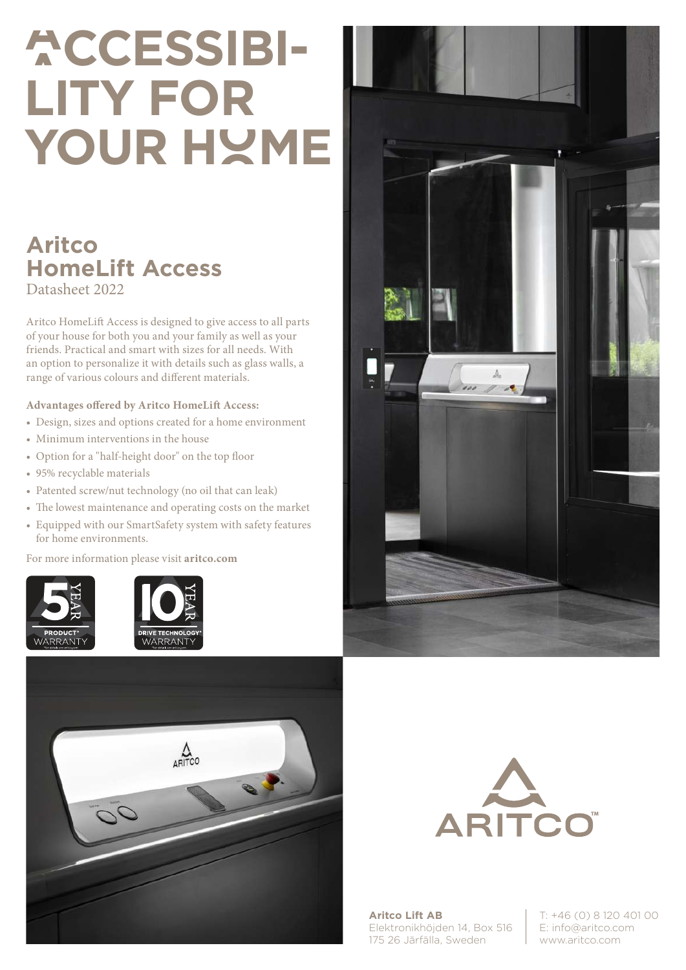# **ACCESSIBI-LITY FOR YOUR HOME**

### **Aritco HomeLift Access** Datasheet 2022

Aritco HomeLift Access is designed to give access to all parts of your house for both you and your family as well as your friends. Practical and smart with sizes for all needs. With an option to personalize it with details such as glass walls, a range of various colours and different materials.

#### **Advantages offered by Aritco HomeLift Access:**

- Design, sizes and options created for a home environment
- Minimum interventions in the house
- Option for a "half-height door" on the top floor
- 95% recyclable materials
- Patented screw/nut technology (no oil that can leak)
- The lowest maintenance and operating costs on the market
- Equipped with our SmartSafety system with safety features for home environments.

For more information please visit **aritco.com**











**Aritco Lift AB** Elektronikhöjden 14, Box 516 175 26 Järfälla, Sweden

T: +46 (0) 8 120 401 00 E: info@aritco.com www.aritco.com